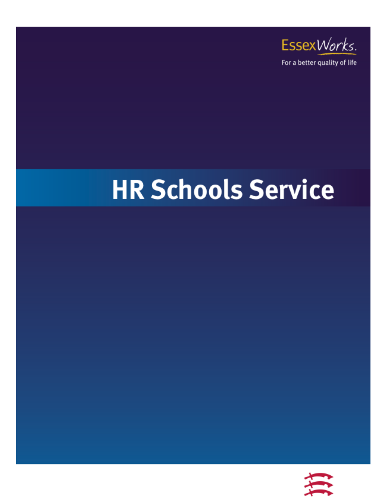

# **HR Schools Service**

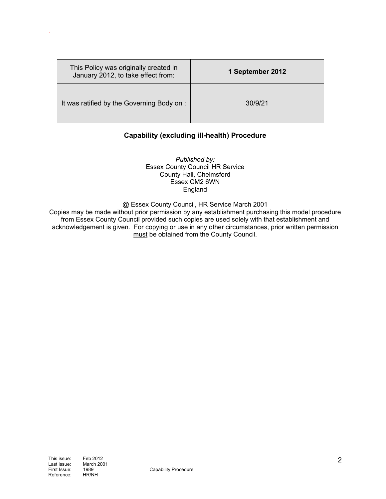| This Policy was originally created in<br>January 2012, to take effect from: | 1 September 2012 |
|-----------------------------------------------------------------------------|------------------|
| It was ratified by the Governing Body on :                                  | 30/9/21          |

# **Capability (excluding ill-health) Procedure**

*Published by:*  Essex County Council HR Service County Hall, Chelmsford Essex CM2 6WN England

@ Essex County Council, HR Service March 2001

Copies may be made without prior permission by any establishment purchasing this model procedure from Essex County Council provided such copies are used solely with that establishment and acknowledgement is given. For copying or use in any other circumstances, prior written permission must be obtained from the County Council.

.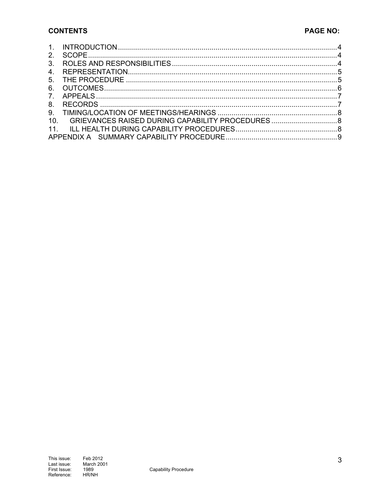## **CONTENTS**

| $\mathcal{P}$   |                                                  |  |
|-----------------|--------------------------------------------------|--|
| 3 <sub>1</sub>  |                                                  |  |
| $4_{-}$         |                                                  |  |
| 5 <sub>1</sub>  |                                                  |  |
| 6.              |                                                  |  |
|                 |                                                  |  |
| 8.              |                                                  |  |
| 9.              |                                                  |  |
| 10 <sub>1</sub> | GRIEVANCES RAISED DURING CAPABILITY PROCEDURES 8 |  |
|                 |                                                  |  |
|                 |                                                  |  |
|                 |                                                  |  |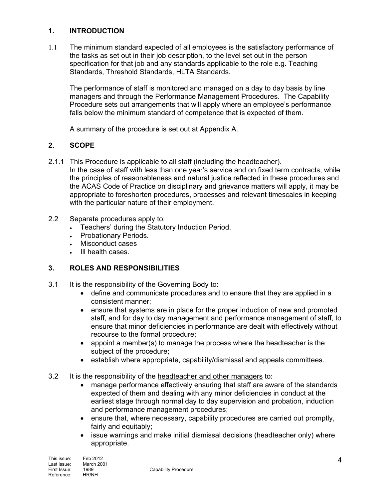## **1. INTRODUCTION**

1.1 The minimum standard expected of all employees is the satisfactory performance of the tasks as set out in their job description, to the level set out in the person specification for that job and any standards applicable to the role e.g. Teaching Standards, Threshold Standards, HLTA Standards.

The performance of staff is monitored and managed on a day to day basis by line managers and through the Performance Management Procedures. The Capability Procedure sets out arrangements that will apply where an employee's performance falls below the minimum standard of competence that is expected of them.

A summary of the procedure is set out at Appendix A.

## **2. SCOPE**

2.1.1 This Procedure is applicable to all staff (including the headteacher).

In the case of staff with less than one year's service and on fixed term contracts, while the principles of reasonableness and natural justice reflected in these procedures and the ACAS Code of Practice on disciplinary and grievance matters will apply, it may be appropriate to foreshorten procedures, processes and relevant timescales in keeping with the particular nature of their employment.

- 2.2 Separate procedures apply to:
	- Teachers' during the Statutory Induction Period.
	- Probationary Periods.
	- Misconduct cases
	- . Ill health cases.

## **3. ROLES AND RESPONSIBILITIES**

- 3.1 It is the responsibility of the Governing Body to:
	- define and communicate procedures and to ensure that they are applied in a consistent manner;
	- ensure that systems are in place for the proper induction of new and promoted staff, and for day to day management and performance management of staff, to ensure that minor deficiencies in performance are dealt with effectively without recourse to the formal procedure;
	- appoint a member(s) to manage the process where the headteacher is the subject of the procedure;
	- establish where appropriate, capability/dismissal and appeals committees.
- 3.2 It is the responsibility of the headteacher and other managers to:
	- manage performance effectively ensuring that staff are aware of the standards expected of them and dealing with any minor deficiencies in conduct at the earliest stage through normal day to day supervision and probation, induction and performance management procedures;
	- ensure that, where necessary, capability procedures are carried out promptly, fairly and equitably;
	- issue warnings and make initial dismissal decisions (headteacher only) where appropriate.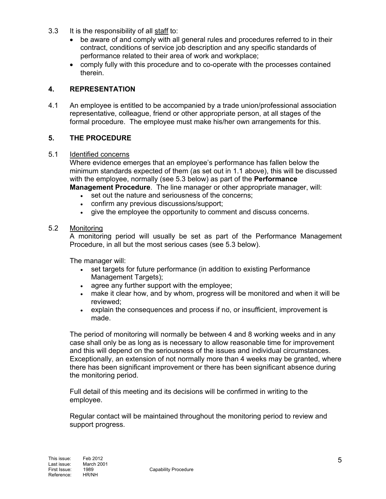- 3.3 It is the responsibility of all staff to:
	- be aware of and comply with all general rules and procedures referred to in their contract, conditions of service job description and any specific standards of performance related to their area of work and workplace;
	- comply fully with this procedure and to co-operate with the processes contained therein.

## **4. REPRESENTATION**

4.1 An employee is entitled to be accompanied by a trade union/professional association representative, colleague, friend or other appropriate person, at all stages of the formal procedure. The employee must make his/her own arrangements for this.

## **5. THE PROCEDURE**

#### 5.1 Identified concerns

Where evidence emerges that an employee's performance has fallen below the minimum standards expected of them (as set out in 1.1 above), this will be discussed with the employee, normally (see 5.3 below) as part of the **Performance** 

**Management Procedure**. The line manager or other appropriate manager, will:

- set out the nature and seriousness of the concerns:
- confirm any previous discussions/support;
- give the employee the opportunity to comment and discuss concerns.

#### 5.2 Monitoring

A monitoring period will usually be set as part of the Performance Management Procedure, in all but the most serious cases (see 5.3 below).

The manager will:

- set targets for future performance (in addition to existing Performance Management Targets);
- agree any further support with the employee;
- make it clear how, and by whom, progress will be monitored and when it will be reviewed;
- explain the consequences and process if no, or insufficient, improvement is made.

The period of monitoring will normally be between 4 and 8 working weeks and in any case shall only be as long as is necessary to allow reasonable time for improvement and this will depend on the seriousness of the issues and individual circumstances. Exceptionally, an extension of not normally more than 4 weeks may be granted, where there has been significant improvement or there has been significant absence during the monitoring period.

Full detail of this meeting and its decisions will be confirmed in writing to the employee.

Regular contact will be maintained throughout the monitoring period to review and support progress.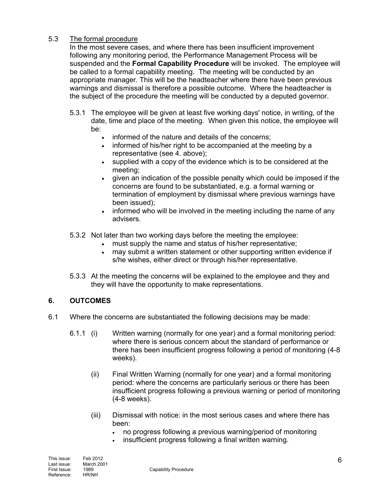# 5.3 The formal procedure

In the most severe cases, and where there has been insufficient improvement following any monitoring period, the Performance Management Process will be suspended and the **Formal Capability Procedure** will be invoked. The employee will be called to a formal capability meeting. The meeting will be conducted by an appropriate manager. This will be the headteacher where there have been previous warnings and dismissal is therefore a possible outcome. Where the headteacher is the subject of the procedure the meeting will be conducted by a deputed governor.

- 5.3.1 The employee will be given at least five working days' notice, in writing, of the date, time and place of the meeting. When given this notice, the employee will be:
	- informed of the nature and details of the concerns;
	- informed of his/her right to be accompanied at the meeting by a representative (see 4. above);
	- supplied with a copy of the evidence which is to be considered at the meeting;
	- given an indication of the possible penalty which could be imposed if the concerns are found to be substantiated, e.g. a formal warning or termination of employment by dismissal where previous warnings have been issued);
	- informed who will be involved in the meeting including the name of any advisers.
- 5.3.2 Not later than two working days before the meeting the employee:
	- must supply the name and status of his/her representative;
	- may submit a written statement or other supporting written evidence if s/he wishes, either direct or through his/her representative.
- 5.3.3 At the meeting the concerns will be explained to the employee and they and they will have the opportunity to make representations.

# **6. OUTCOMES**

- 6.1 Where the concerns are substantiated the following decisions may be made:
	- 6.1.1 (i) Written warning (normally for one year) and a formal monitoring period: where there is serious concern about the standard of performance or there has been insufficient progress following a period of monitoring (4-8 weeks).
		- (ii) Final Written Warning (normally for one year) and a formal monitoring period: where the concerns are particularly serious or there has been insufficient progress following a previous warning or period of monitoring (4-8 weeks).
		- (iii) Dismissal with notice: in the most serious cases and where there has been:
			- no progress following a previous warning/period of monitoring
			- insufficient progress following a final written warning.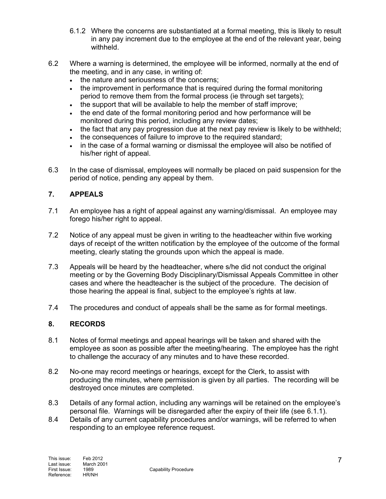- 6.1.2 Where the concerns are substantiated at a formal meeting, this is likely to result in any pay increment due to the employee at the end of the relevant year, being withheld.
- 6.2 Where a warning is determined, the employee will be informed, normally at the end of the meeting, and in any case, in writing of:
	- the nature and seriousness of the concerns;
	- the improvement in performance that is required during the formal monitoring period to remove them from the formal process (ie through set targets);
	- the support that will be available to help the member of staff improve;
	- the end date of the formal monitoring period and how performance will be monitored during this period, including any review dates;
	- $\bullet$  the fact that any pay progression due at the next pay review is likely to be withheld;
	- the consequences of failure to improve to the required standard;
	- in the case of a formal warning or dismissal the employee will also be notified of his/her right of appeal.
- 6.3 In the case of dismissal, employees will normally be placed on paid suspension for the period of notice, pending any appeal by them.

# **7. APPEALS**

- 7.1 An employee has a right of appeal against any warning/dismissal. An employee may forego his/her right to appeal.
- 7.2 Notice of any appeal must be given in writing to the headteacher within five working days of receipt of the written notification by the employee of the outcome of the formal meeting, clearly stating the grounds upon which the appeal is made.
- 7.3 Appeals will be heard by the headteacher, where s/he did not conduct the original meeting or by the Governing Body Disciplinary/Dismissal Appeals Committee in other cases and where the headteacher is the subject of the procedure. The decision of those hearing the appeal is final, subject to the employee's rights at law.
- 7.4 The procedures and conduct of appeals shall be the same as for formal meetings.

# **8. RECORDS**

- 8.1 Notes of formal meetings and appeal hearings will be taken and shared with the employee as soon as possible after the meeting/hearing. The employee has the right to challenge the accuracy of any minutes and to have these recorded.
- 8.2 No-one may record meetings or hearings, except for the Clerk, to assist with producing the minutes, where permission is given by all parties. The recording will be destroyed once minutes are completed.
- 8.3 Details of any formal action, including any warnings will be retained on the employee's personal file. Warnings will be disregarded after the expiry of their life (see 6.1.1).
- 8.4 Details of any current capability procedures and/or warnings, will be referred to when responding to an employee reference request.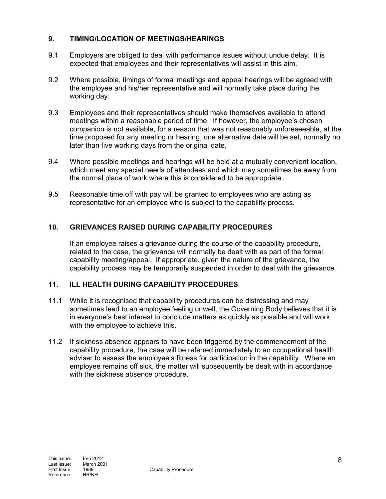# **9. TIMING/LOCATION OF MEETINGS/HEARINGS**

- 9.1 Employers are obliged to deal with performance issues without undue delay. It is expected that employees and their representatives will assist in this aim.
- 9.2 Where possible, timings of formal meetings and appeal hearings will be agreed with the employee and his/her representative and will normally take place during the working day.
- 9.3 Employees and their representatives should make themselves available to attend meetings within a reasonable period of time. If however, the employee's chosen companion is not available, for a reason that was not reasonably unforeseeable, at the time proposed for any meeting or hearing, one alternative date will be set, normally no later than five working days from the original date.
- 9.4 Where possible meetings and hearings will be held at a mutually convenient location, which meet any special needs of attendees and which may sometimes be away from the normal place of work where this is considered to be appropriate.
- 9.5 Reasonable time off with pay will be granted to employees who are acting as representative for an employee who is subject to the capability process.

# **10. GRIEVANCES RAISED DURING CAPABILITY PROCEDURES**

If an employee raises a grievance during the course of the capability procedure, related to the case, the grievance will normally be dealt with as part of the formal capability meeting/appeal. If appropriate, given the nature of the grievance, the capability process may be temporarily suspended in order to deal with the grievance.

# **11. ILL HEALTH DURING CAPABILITY PROCEDURES**

- 11.1 While it is recognised that capability procedures can be distressing and may sometimes lead to an employee feeling unwell, the Governing Body believes that it is in everyone's best interest to conclude matters as quickly as possible and will work with the employee to achieve this.
- 11.2 If sickness absence appears to have been triggered by the commencement of the capability procedure, the case will be referred immediately to an occupational health adviser to assess the employee's fitness for participation in the capability. Where an employee remains off sick, the matter will subsequently be dealt with in accordance with the sickness absence procedure.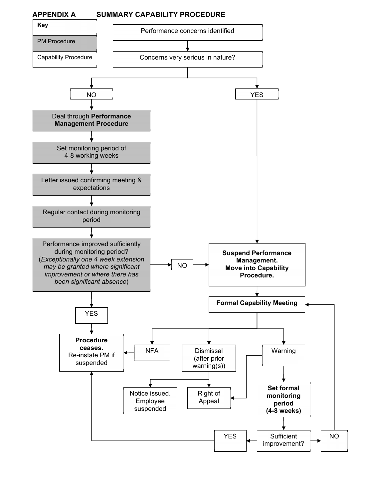